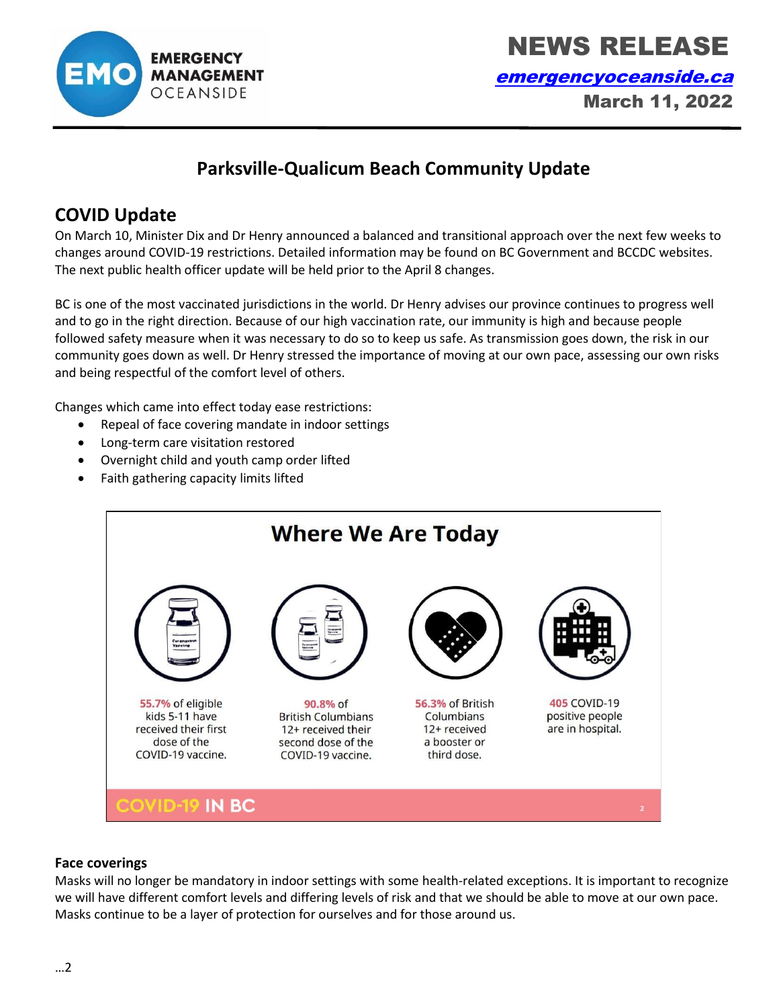

 NEWS RELEASE [emergencyoceanside.ca](http://www.emergencyoceanside.ca/) March 11, 2022

# **Parksville-Qualicum Beach Community Update**

# **COVID Update**

On March 10, Minister Dix and Dr Henry announced a balanced and transitional approach over the next few weeks to changes around COVID-19 restrictions. Detailed information may be found on BC Government and BCCDC websites. The next public health officer update will be held prior to the April 8 changes.

BC is one of the most vaccinated jurisdictions in the world. Dr Henry advises our province continues to progress well and to go in the right direction. Because of our high vaccination rate, our immunity is high and because people followed safety measure when it was necessary to do so to keep us safe. As transmission goes down, the risk in our community goes down as well. Dr Henry stressed the importance of moving at our own pace, assessing our own risks and being respectful of the comfort level of others.

Changes which came into effect today ease restrictions:

- Repeal of face covering mandate in indoor settings
- Long-term care visitation restored
- Overnight child and youth camp order lifted
- Faith gathering capacity limits lifted



#### **Face coverings**

Masks will no longer be mandatory in indoor settings with some health-related exceptions. It is important to recognize we will have different comfort levels and differing levels of risk and that we should be able to move at our own pace. Masks continue to be a layer of protection for ourselves and for those around us.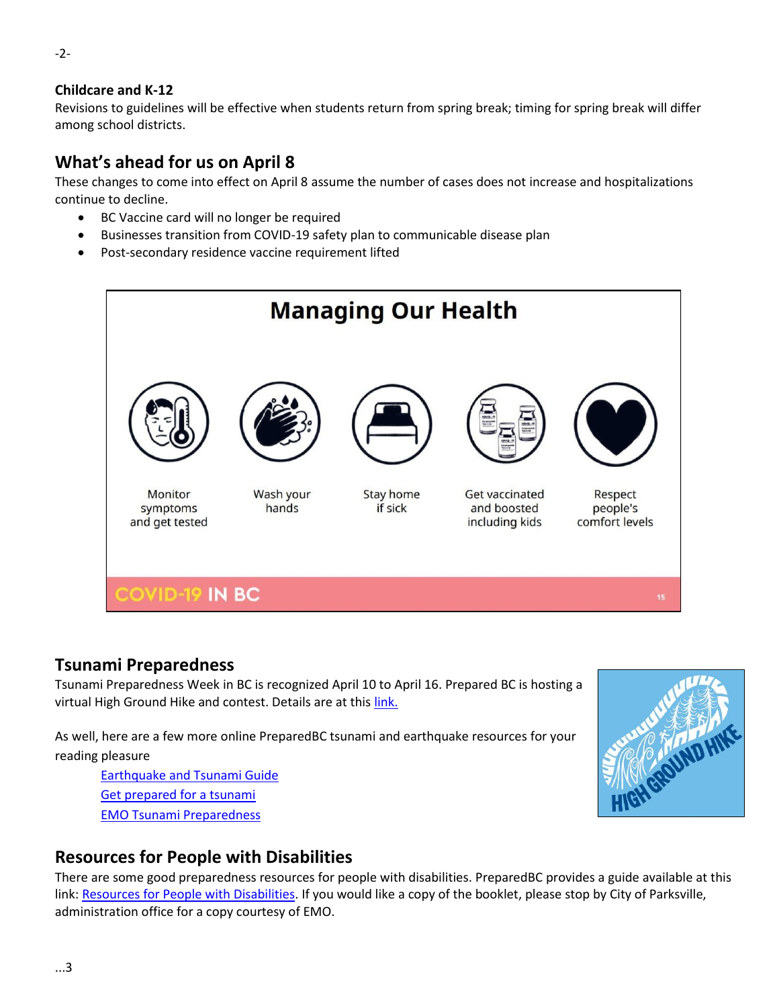#### **Childcare and K-12**

Revisions to guidelines will be effective when students return from spring break; timing for spring break will differ among school districts.

## **What's ahead for us on April 8**

These changes to come into effect on April 8 assume the number of cases does not increase and hospitalizations continue to decline.

- BC Vaccine card will no longer be required
- Businesses transition from COVID-19 safety plan to communicable disease plan
- Post-secondary residence vaccine requirement lifted



### **Tsunami Preparedness**

Tsunami Preparedness Week in BC is recognized April 10 to April 16. Prepared BC is hosting a virtual High Ground Hike and contest. Details are at this [link.](https://www2.gov.bc.ca/gov/content/safety/emergency-management/education-programs-toolkits/high-ground-hike)

As well, here are a few more online PreparedBC tsunami and earthquake resources for your reading pleasure

[Earthquake and Tsunami Guide](https://www2.gov.bc.ca/gov/content/safety/emergency-management/preparedbc/know-your-hazards/earthquakes-tsunamis) [Get prepared for a tsunami](https://www2.gov.bc.ca/gov/content/safety/emergency-management/preparedbc/know-your-hazards/earthquakes-tsunamis/tsunami) [EMO Tsunami Preparedness](https://www.emergencyoceanside.ca/tsunami-preparedness)



### **Resources for People with Disabilities**

There are some good preparedness resources for people with disabilities. PreparedBC provides a guide available at this link: [Resources for People with Disabilities.](https://www2.gov.bc.ca/gov/content/safety/emergency-management/preparedbc/guides-and-resources) If you would like a copy of the booklet, please stop by City of Parksville, administration office for a copy courtesy of EMO.

-2-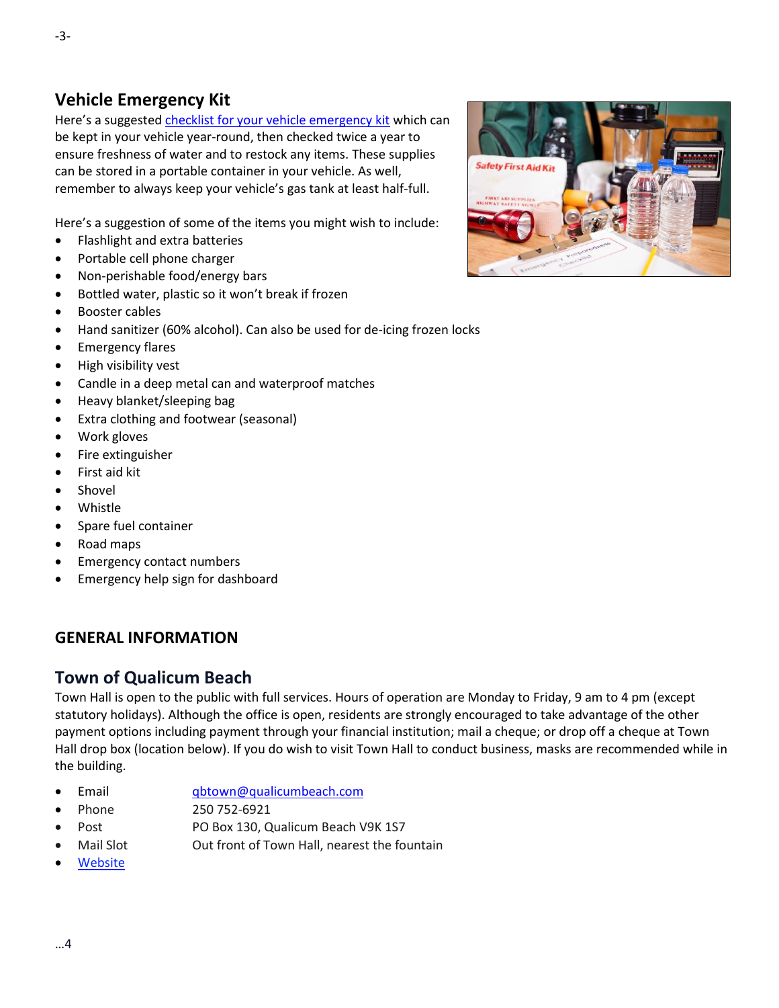### **Vehicle Emergency Kit**

Here's a suggested [checklist for your vehicle emergency kit](https://www.emergencyoceanside.ca/cms/wpattachments/wpID407atID2150.pdf) which can be kept in your vehicle year-round, then checked twice a year to ensure freshness of water and to restock any items. These supplies can be stored in a portable container in your vehicle. As well, remember to always keep your vehicle's gas tank at least half-full.

Here's a suggestion of some of the items you might wish to include:

- Flashlight and extra batteries
- Portable cell phone charger
- Non-perishable food/energy bars
- Bottled water, plastic so it won't break if frozen
- Booster cables
- Hand sanitizer (60% alcohol). Can also be used for de-icing frozen locks
- Emergency flares
- High visibility vest
- Candle in a deep metal can and waterproof matches
- Heavy blanket/sleeping bag
- Extra clothing and footwear (seasonal)
- Work gloves
- Fire extinguisher
- First aid kit
- Shovel
- Whistle
- Spare fuel container
- Road maps
- Emergency contact numbers
- Emergency help sign for dashboard

#### **GENERAL INFORMATION**

#### **Town of Qualicum Beach**

Town Hall is open to the public with full services. Hours of operation are Monday to Friday, 9 am to 4 pm (except statutory holidays). Although the office is open, residents are strongly encouraged to take advantage of the other payment options including payment through your financial institution; mail a cheque; or drop off a cheque at Town Hall drop box (location below). If you do wish to visit Town Hall to conduct business, masks are recommended while in the building.

- Email [qbtown@qualicumbeach.com](mailto:qbtown@qualicumbeach.com)
- Phone 250 752-6921
- Post PO Box 130, Qualicum Beach V9K 1S7
- Mail Slot **Out front of Town Hall, nearest the fountain**
- **[Website](http://www.qualicumbeach.com/)**